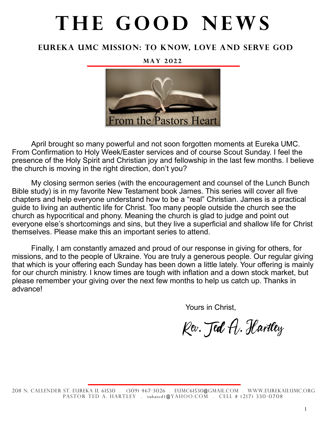# THE GOOD NEWS

### **Eureka UMc Mission: To Know, Love and Serve God**

**M a y 2 0 2 2**



April brought so many powerful and not soon forgotten moments at Eureka UMC. From Confirmation to Holy Week/Easter services and of course Scout Sunday. I feel the presence of the Holy Spirit and Christian joy and fellowship in the last few months. I believe the church is moving in the right direction, don't you?

My closing sermon series (with the encouragement and counsel of the Lunch Bunch Bible study) is in my favorite New Testament book James. This series will cover all five chapters and help everyone understand how to be a "real" Christian. James is a practical guide to living an authentic life for Christ. Too many people outside the church see the church as hypocritical and phony. Meaning the church is glad to judge and point out everyone else's shortcomings and sins, but they live a superficial and shallow life for Christ themselves. Please make this an important series to attend.

Finally, I am constantly amazed and proud of our response in giving for others, for missions, and to the people of Ukraine. You are truly a generous people. Our regular giving that which is your offering each Sunday has been down a little lately. Your offering is mainly for our church ministry. I know times are tough with inflation and a down stock market, but please remember your giving over the next few months to help us catch up. Thanks in advance!

Yours in Christ,

Kev. Jed A. Hartley

<sup>208</sup> N. Callender St. Eureka IL 61530 . (309) 467-3026 . eumc61530@gmail.com . WWw.eurekailumc.org PASTOR TED A. HARTLEY . tubated1@YAHOO.COM . CELL # (217) 330-0708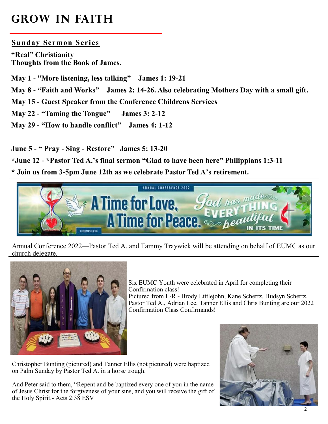## **Grow in Faith**

#### **Sunday Sermon Series**

**"Real" Christianity Thoughts from the Book of James.**

**May 1 - "More listening, less talking" James 1: 19-21**

**May 8 - "Faith and Works" James 2: 14-26. Also celebrating Mothers Day with a small gift.**

**May 15 - Guest Speaker from the Conference Childrens Services**

**May 22 - "Taming the Tongue" James 3: 2-12**

**May 29 - "How to handle conflict" James 4: 1-12**

**June 5 - " Pray - Sing - Restore" James 5: 13-20**

**\*June 12 - \*Pastor Ted A.'s final sermon "Glad to have been here" Philippians 1:3-11**

**\* Join us from 3-5pm June 12th as we celebrate Pastor Ted A's retirement.**



Annual Conference 2022—Pastor Ted A. and Tammy Traywick will be attending on behalf of EUMC as our church delegate.



Six EUMC Youth were celebrated in April for completing their Confirmation class! Pictured from L-R - Brody Littlejohn, Kane Schertz, Hudsyn Schertz, Pastor Ted A., Adrian Lee, Tanner Ellis and Chris Bunting are our 2022 Confirmation Class Confirmands!

Christopher Bunting (pictured) and Tanner Ellis (not pictured) were baptized on Palm Sunday by Pastor Ted A. in a horse trough.

And Peter said to them, "Repent and be baptized every one of you in the name of Jesus Christ for the forgiveness of your sins, and you will receive the gift of the Holy Spirit.- Acts 2:38 ESV

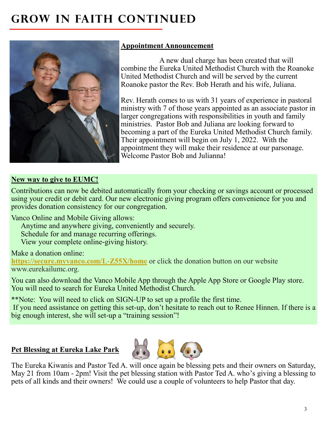# **GROW IN FAITH CONTINUED**



### **Appointment Announcement**

A new dual charge has been created that will combine the Eureka United Methodist Church with the Roanoke United Methodist Church and will be served by the current Roanoke pastor the Rev. Bob Herath and his wife, Juliana.

Rev. Herath comes to us with 31 years of experience in pastoral ministry with 7 of those years appointed as an associate pastor in larger congregations with responsibilities in youth and family ministries. Pastor Bob and Juliana are looking forward to becoming a part of the Eureka United Methodist Church family. Their appointment will begin on July 1, 2022. With the appointment they will make their residence at our parsonage. Welcome Pastor Bob and Julianna!

#### **New way to give to EUMC!**

Contributions can now be debited automatically from your checking or savings account or processed using your credit or debit card. Our new electronic giving program offers convenience for you and provides donation consistency for our congregation.

Vanco Online and Mobile Giving allows:

Anytime and anywhere giving, conveniently and securely.

Schedule for and manage recurring offerings.

View your complete online-giving history.

#### Make a donation online:

**<https://secure.myvanco.com/L-Z55X/home>** or click the donation button on our website www.eurekailumc.org.

You can also download the Vanco Mobile App through the Apple App Store or Google Play store. You will need to search for Eureka United Methodist Church.

\*\*Note: You will need to click on SIGN-UP to set up a profile the first time.

If you need assistance on getting this set-up, don't hesitate to reach out to Renee Hinnen. If there is a big enough interest, she will set-up a "training session"!

#### **Pet Blessing at Eureka Lake Park**



The Eureka Kiwanis and Pastor Ted A. will once again be blessing pets and their owners on Saturday, May 21 from 10am - 2pm! Visit the pet blessing station with Pastor Ted A. who's giving a blessing to pets of all kinds and their owners! We could use a couple of volunteers to help Pastor that day.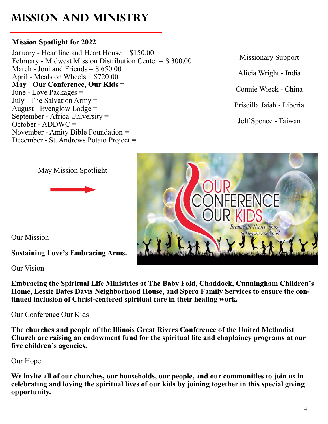# **Mission and Ministry**

#### **Mission Spotlight for 2022**

January - Heartline and Heart House = \$150.00 February - Midwest Mission Distribution Center = \$ 300.00 March - Joni and Friends  $=$  \$650.00 April - Meals on Wheels = \$720.00 **May - Our Conference, Our Kids =**  June - Love Packages = July - The Salvation Army = August - Evenglow Lodge = September - Africa University =  $October - ADDWC =$ November - Amity Bible Foundation = December - St. Andrews Potato Project =

Missionary Support

Alicia Wright - India

Connie Wieck - China

Priscilla Jaiah - Liberia

Jeff Spence - Taiwan







Our Mission

**Sustaining Love's Embracing Arms.**

Our Vision

**Embracing the Spiritual Life Ministries at The Baby Fold, Chaddock, Cunningham Children's Home, Lessie Bates Davis Neighborhood House, and Spero Family Services to ensure the continued inclusion of Christ-centered spiritual care in their healing work.**

Our Conference Our Kids

**The churches and people of the Illinois Great Rivers Conference of the United Methodist Church are raising an endowment fund for the spiritual life and chaplaincy programs at our five children's agencies.**

Our Hope

**We invite all of our churches, our households, our people, and our communities to join us in celebrating and loving the spiritual lives of our kids by joining together in this special giving opportunity.**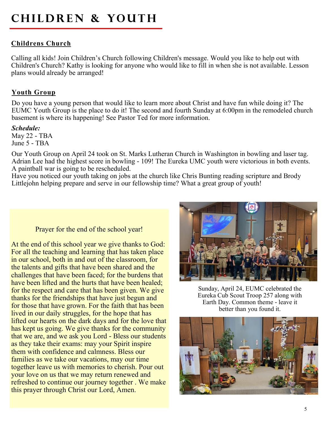# **CHILDREN & YOUTH**

#### **Childrens Church**

Calling all kids! Join Children's Church following Children's message. Would you like to help out with Children's Church? Kathy is looking for anyone who would like to fill in when she is not available. Lesson plans would already be arranged!

#### **Youth Group**

Do you have a young person that would like to learn more about Christ and have fun while doing it? The EUMC Youth Group is the place to do it! The second and fourth Sunday at 6:00pm in the remodeled church basement is where its happening! See Pastor Ted for more information.

#### *Schedule:*

May 22 - TBA June 5 - TBA

Our Youth Group on April 24 took on St. Marks Lutheran Church in Washington in bowling and laser tag. Adrian Lee had the highest score in bowling - 109! The Eureka UMC youth were victorious in both events. A paintball war is going to be rescheduled.

Have you noticed our youth taking on jobs at the church like Chris Bunting reading scripture and Brody Littlejohn helping prepare and serve in our fellowship time? What a great group of youth!

#### Prayer for the end of the school year!

At the end of this school year we give thanks to God: For all the teaching and learning that has taken place in our school, both in and out of the classroom, for the talents and gifts that have been shared and the challenges that have been faced; for the burdens that have been lifted and the hurts that have been healed; for the respect and care that has been given. We give thanks for the friendships that have just begun and for those that have grown. For the faith that has been lived in our daily struggles, for the hope that has lifted our hearts on the dark days and for the love that has kept us going. We give thanks for the community that we are, and we ask you Lord - Bless our students as they take their exams: may your Spirit inspire them with confidence and calmness. Bless our families as we take our vacations, may our time together leave us with memories to cherish. Pour out your love on us that we may return renewed and refreshed to continue our journey together . We make this prayer through Christ our Lord, Amen.



Sunday, April 24, EUMC celebrated the Eureka Cub Scout Troop 257 along with Earth Day. Common theme - leave it better than you found it.

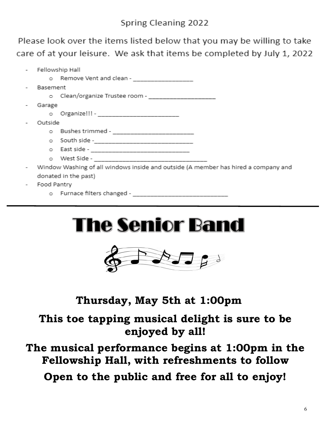Please look over the items listed below that you may be willing to take care of at your leisure. We ask that items be completed by July 1, 2022

|                      | - Fellowship Hall                                                                  |                                             |  |
|----------------------|------------------------------------------------------------------------------------|---------------------------------------------|--|
|                      |                                                                                    | o Remove Vent and clean - _________________ |  |
|                      | Basement                                                                           |                                             |  |
|                      |                                                                                    |                                             |  |
|                      | Garage                                                                             |                                             |  |
|                      |                                                                                    |                                             |  |
|                      |                                                                                    | Outside                                     |  |
|                      |                                                                                    |                                             |  |
|                      |                                                                                    |                                             |  |
|                      |                                                                                    |                                             |  |
|                      |                                                                                    |                                             |  |
|                      | Window Washing of all windows inside and outside (A member has hired a company and |                                             |  |
| donated in the past) |                                                                                    |                                             |  |
|                      | Eaad Dantou                                                                        |                                             |  |

- Food Pantry
	- o Furnace filters changed -





### **Thursday, May 5th at 1:00pm**

**This toe tapping musical delight is sure to be enjoyed by all!** 

**The musical performance begins at 1:00pm in the Fellowship Hall, with refreshments to follow Open to the public and free for all to enjoy!**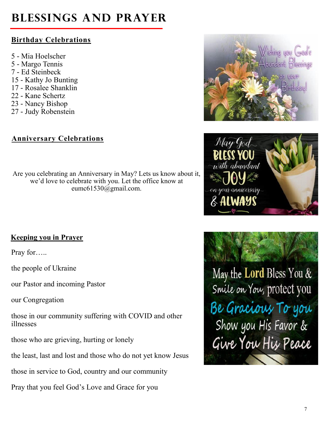# **Blessings and Prayer**

### **Birthday Celebrations**

- 5 Mia Hoelscher
- 5 Margo Tennis
- 7 Ed Steinbeck
- 15 Kathy Jo Bunting
- 17 Rosalee Shanklin
- 22 Kane Schertz
- 23 Nancy Bishop
- 27 Judy Robenstein

### **Anniversary Celebrations**

Are you celebrating an Anniversary in May? Lets us know about it, we'd love to celebrate with you. Let the office know at eumc61530@gmail.com.

### **Keeping you in Prayer**

Pray for…..

the people of Ukraine

our Pastor and incoming Pastor

our Congregation

those in our community suffering with COVID and other illnesses

those who are grieving, hurting or lonely

the least, last and lost and those who do not yet know Jesus

those in service to God, country and our community

Pray that you feel God's Love and Grace for you